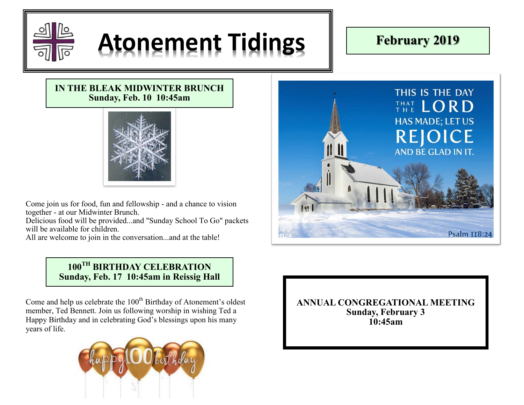

# Atonement Tidings  $\|\$

# **IN THE BLEAK MIDWINTER BRUNCH Sunday, Feb. 10 10:45am**



Come join us for food, fun and fellowship - and a chance to vision together - at our Midwinter Brunch.

Delicious food will be provided...and "Sunday School To Go" packets will be available for children.

All are welcome to join in the conversation...and at the table!

# **100TH BIRTHDAY CELEBRATION Sunday, Feb. 17 10:45am in Reissig Hall**

Come and help us celebrate the 100<sup>th</sup> Birthday of Atonement's oldest member, Ted Bennett. Join us following worship in wishing Ted a Happy Birthday and in celebrating God's blessings upon his many years of life.



**ANNUAL CONGREGATIONAL MEETING Sunday, February 3 10:45am**

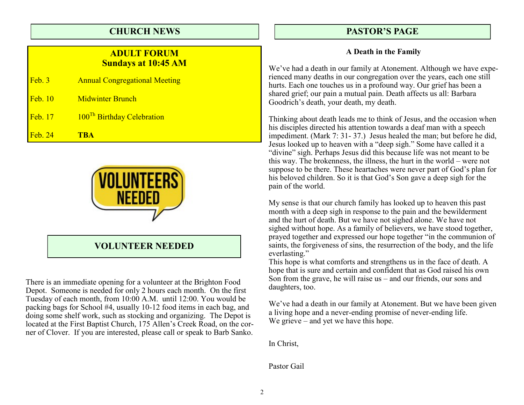# **CHURCH NEWS**

## **ADULT FORUM Sundays at 10:45 AM**

- Feb. 3 Annual Congregational Meeting
- Feb. 17  $100^{Th}$  Birthday Celebration

Feb. 10 Midwinter Brunch

Feb. 24 **TBA**



# **VOLUNTEER NEEDED**

There is an immediate opening for a volunteer at the Brighton Food Depot. Someone is needed for only 2 hours each month. On the first Tuesday of each month, from 10:00 A.M. until 12:00. You would be packing bags for School #4, usually 10-12 food items in each bag, and doing some shelf work, such as stocking and organizing. The Depot is located at the First Baptist Church, 175 Allen's Creek Road, on the corner of Clover. If you are interested, please call or speak to Barb Sanko.

## **PASTOR'S PAGE**

#### **A Death in the Family**

We've had a death in our family at Atonement. Although we have experienced many deaths in our congregation over the years, each one still hurts. Each one touches us in a profound way. Our grief has been a shared grief; our pain a mutual pain. Death affects us all: Barbara Goodrich's death, your death, my death.

Thinking about death leads me to think of Jesus, and the occasion when his disciples directed his attention towards a deaf man with a speech impediment. (Mark 7: 31- 37.) Jesus healed the man; but before he did, Jesus looked up to heaven with a "deep sigh." Some have called it a "divine" sigh. Perhaps Jesus did this because life was not meant to be this way. The brokenness, the illness, the hurt in the world – were not suppose to be there. These heartaches were never part of God's plan for his beloved children. So it is that God's Son gave a deep sigh for the pain of the world.

My sense is that our church family has looked up to heaven this past month with a deep sigh in response to the pain and the bewilderment and the hurt of death. But we have not sighed alone. We have not sighed without hope. As a family of believers, we have stood together, prayed together and expressed our hope together "in the communion of saints, the forgiveness of sins, the resurrection of the body, and the life everlasting."

This hope is what comforts and strengthens us in the face of death. A hope that is sure and certain and confident that as God raised his own Son from the grave, he will raise us – and our friends, our sons and daughters, too.

We've had a death in our family at Atonement. But we have been given a living hope and a never-ending promise of never-ending life. We grieve – and yet we have this hope.

In Christ,

Pastor Gail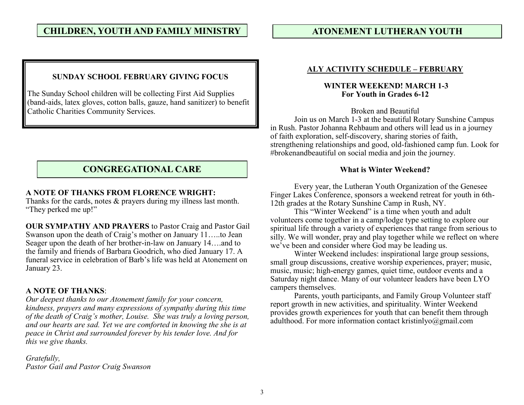# **CHILDREN, YOUTH AND FAMILY MINISTRY | ATONEMENT LUTHERAN YOUTH**

#### **SUNDAY SCHOOL FEBRUARY GIVING FOCUS**

The Sunday School children will be collecting First Aid Supplies (band-aids, latex gloves, cotton balls, gauze, hand sanitizer) to benefit Catholic Charities Community Services.

#### **CONGREGATIONAL CARE**

#### **A NOTE OF THANKS FROM FLORENCE WRIGHT:**

Thanks for the cards, notes & prayers during my illness last month. "They perked me up!"

**OUR SYMPATHY AND PRAYERS** to Pastor Craig and Pastor Gail Swanson upon the death of Craig's mother on January 11…..to Jean Seager upon the death of her brother-in-law on January 14...and to the family and friends of Barbara Goodrich, who died January 17. A funeral service in celebration of Barb's life was held at Atonement on January 23.

#### **A NOTE OF THANKS**:

*Our deepest thanks to our Atonement family for your concern, kindness, prayers and many expressions of sympathy during this time of the death of Craig's mother, Louise. She was truly a loving person, and our hearts are sad. Yet we are comforted in knowing the she is at peace in Christ and surrounded forever by his tender love. And for this we give thanks.*

*Gratefully, Pastor Gail and Pastor Craig Swanson* 

#### **ALY ACTIVITY SCHEDULE – FEBRUARY**

#### **WINTER WEEKEND! MARCH 1-3 For Youth in Grades 6-12**

Broken and Beautiful

Join us on March 1-3 at the beautiful Rotary Sunshine Campus in Rush. Pastor Johanna Rehbaum and others will lead us in a journey of faith exploration, self-discovery, sharing stories of faith, strengthening relationships and good, old-fashioned camp fun. Look for #brokenandbeautiful on social media and join the journey.

#### **What is Winter Weekend?**

Every year, the Lutheran Youth Organization of the Genesee Finger Lakes Conference, sponsors a weekend retreat for youth in 6th-12th grades at the Rotary Sunshine Camp in Rush, NY.

This "Winter Weekend" is a time when youth and adult volunteers come together in a camp/lodge type setting to explore our spiritual life through a variety of experiences that range from serious to silly. We will wonder, pray and play together while we reflect on where we've been and consider where God may be leading us.

Winter Weekend includes: inspirational large group sessions, small group discussions, creative worship experiences, prayer; music, music, music; high-energy games, quiet time, outdoor events and a Saturday night dance. Many of our volunteer leaders have been LYO campers themselves.

Parents, youth participants, and Family Group Volunteer staff report growth in new activities, and spirituality. Winter Weekend provides growth experiences for youth that can benefit them through adulthood. For more information contact kristinlyo@gmail.com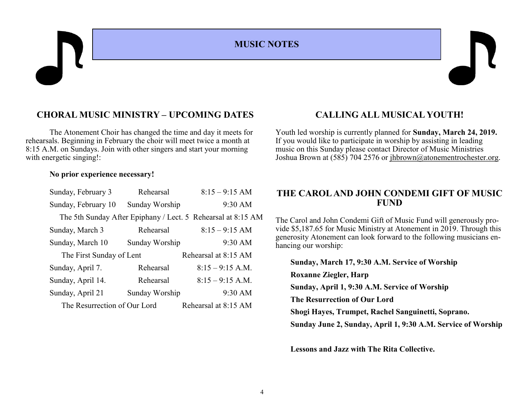# **MUSIC NOTES**

#### **CHORAL MUSIC MINISTRY – UPCOMING DATES**

The Atonement Choir has changed the time and day it meets for rehearsals. Beginning in February the choir will meet twice a month at 8:15 A.M. on Sundays. Join with other singers and start your morning with energetic singing!:

#### **No prior experience necessary!**

| Sunday, February 3           | Rehearsal      | $8:15 - 9:15$ AM                                             |
|------------------------------|----------------|--------------------------------------------------------------|
| Sunday, February 10          | Sunday Worship | 9:30 AM                                                      |
|                              |                | The 5th Sunday After Epiphany / Lect. 5 Rehearsal at 8:15 AM |
| Sunday, March 3              | Rehearsal      | $8:15 - 9:15$ AM                                             |
| Sunday, March 10             | Sunday Worship | $9:30 \text{ AM}$                                            |
| The First Sunday of Lent     |                | Rehearsal at 8:15 AM                                         |
| Sunday, April 7.             | Rehearsal      | $8:15 - 9:15$ A.M.                                           |
| Sunday, April 14.            | Rehearsal      | $8:15 - 9:15$ A.M.                                           |
| Sunday, April 21             | Sunday Worship | 9:30 AM                                                      |
| The Resurrection of Our Lord |                | Rehearsal at 8:15 AM                                         |

## **CALLING ALL MUSICAL YOUTH!**

Youth led worship is currently planned for **Sunday, March 24, 2019.** If you would like to participate in worship by assisting in leading music on this Sunday please contact Director of Music Ministries Joshua Brown at (585) 704 2576 or [jhbrown@atonementrochester.org.](mailto:jhbrown@atonementrochester.org)

#### **THE CAROL AND JOHN CONDEMI GIFT OF MUSIC FUND**

The Carol and John Condemi Gift of Music Fund will generously provide \$5,187.65 for Music Ministry at Atonement in 2019. Through this generosity Atonement can look forward to the following musicians enhancing our worship:

**Sunday, March 17, 9:30 A.M. Service of Worship**

**Roxanne Ziegler, Harp**

**Sunday, April 1, 9:30 A.M. Service of Worship**

**The Resurrection of Our Lord**

**Shogi Hayes, Trumpet, Rachel Sanguinetti, Soprano.**

**Sunday June 2, Sunday, April 1, 9:30 A.M. Service of Worship**

**Lessons and Jazz with The Rita Collective.**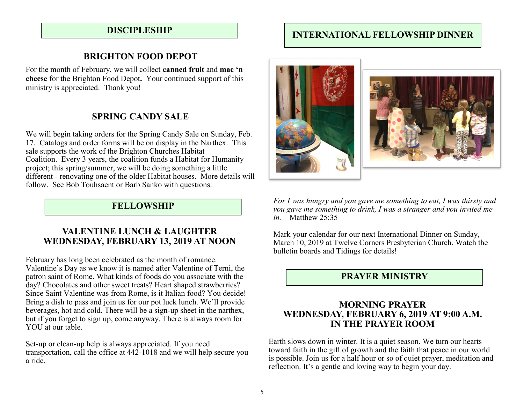#### **DISCIPLESHIP**

## **BRIGHTON FOOD DEPOT**

For the month of February, we will collect **canned fruit** and **mac 'n cheese** for the Brighton Food Depot**.** Your continued support of this ministry is appreciated. Thank you!

## **SPRING CANDY SALE**

We will begin taking orders for the Spring Candy Sale on Sunday, Feb. 17. Catalogs and order forms will be on display in the Narthex. This sale supports the work of the Brighton Churches Habitat Coalition. Every 3 years, the coalition funds a Habitat for Humanity project; this spring/summer, we will be doing something a little different - renovating one of the older Habitat houses. More details will follow. See Bob Touhsaent or Barb Sanko with questions.

## **FELLOWSHIP**

#### **VALENTINE LUNCH & LAUGHTER WEDNESDAY, FEBRUARY 13, 2019 AT NOON**

February has long been celebrated as the month of romance. Valentine's Day as we know it is named after Valentine of Terni, the patron saint of Rome. What kinds of foods do you associate with the day? Chocolates and other sweet treats? Heart shaped strawberries? Since Saint Valentine was from Rome, is it Italian food? You decide! Bring a dish to pass and join us for our pot luck lunch. We'll provide beverages, hot and cold. There will be a sign-up sheet in the narthex, but if you forget to sign up, come anyway. There is always room for YOU at our table.

Set-up or clean-up help is always appreciated. If you need transportation, call the office at 442-1018 and we will help secure you a ride.

# **INTERNATIONAL FELLOWSHIP DINNER**





*For I was hungry and you gave me something to eat, I was thirsty and you gave me something to drink, I was a stranger and you invited me in.* – Matthew 25:35

Mark your calendar for our next International Dinner on Sunday, March 10, 2019 at Twelve Corners Presbyterian Church. Watch the bulletin boards and Tidings for details!

# **PRAYER MINISTRY**

#### **MORNING PRAYER WEDNESDAY, FEBRUARY 6, 2019 AT 9:00 A.M. IN THE PRAYER ROOM**

Earth slows down in winter. It is a quiet season. We turn our hearts toward faith in the gift of growth and the faith that peace in our world is possible. Join us for a half hour or so of quiet prayer, meditation and reflection. It's a gentle and loving way to begin your day.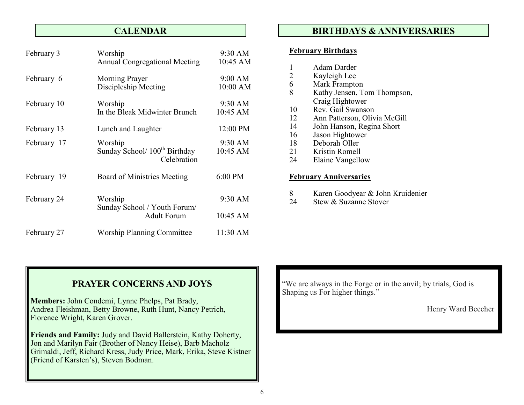# **CALENDAR**

| February 3  | Worship                                                  | 9:30 AM   |
|-------------|----------------------------------------------------------|-----------|
|             | <b>Annual Congregational Meeting</b>                     | 10:45 AM  |
| February 6  | <b>Morning Prayer</b>                                    | 9:00 AM   |
|             | Discipleship Meeting                                     | 10:00 AM  |
| February 10 | Worship                                                  | $9:30$ AM |
|             | In the Bleak Midwinter Brunch                            | 10:45 AM  |
| February 13 | Lunch and Laughter                                       | 12:00 PM  |
| February 17 | Worship                                                  | 9:30 AM   |
|             | Sunday School/ 100 <sup>th</sup> Birthday<br>Celebration | 10:45 AM  |
| February 19 | Board of Ministries Meeting                              | 6:00 PM   |
| February 24 | Worship                                                  | 9:30 AM   |
|             | Sunday School / Youth Forum/<br><b>Adult Forum</b>       | 10:45 AM  |
| February 27 | <b>Worship Planning Committee</b>                        | 11:30 AM  |

# **BIRTHDAYS & ANNIVERSARIES**

#### **February Birthdays**

|                               | 1  | Adam Darder                      |  |  |  |
|-------------------------------|----|----------------------------------|--|--|--|
|                               | 2  | Kayleigh Lee                     |  |  |  |
|                               | 6  | Mark Frampton                    |  |  |  |
|                               | 8  | Kathy Jensen, Tom Thompson,      |  |  |  |
|                               |    | Craig Hightower                  |  |  |  |
|                               | 10 | Rev. Gail Swanson                |  |  |  |
|                               | 12 | Ann Patterson, Olivia McGill     |  |  |  |
|                               | 14 | John Hanson, Regina Short        |  |  |  |
|                               | 16 | Jason Hightower                  |  |  |  |
|                               | 18 | Deborah Oller                    |  |  |  |
|                               | 21 | Kristin Romell                   |  |  |  |
|                               | 24 | Elaine Vangellow                 |  |  |  |
|                               |    |                                  |  |  |  |
| <b>February Anniversaries</b> |    |                                  |  |  |  |
|                               | 8  | Karen Goodyear & John Kruidenier |  |  |  |
|                               | 24 | Stew & Suzanne Stover            |  |  |  |
|                               |    |                                  |  |  |  |

# **PRAYER CONCERNS AND JOYS**

**Members:** John Condemi, Lynne Phelps, Pat Brady, Andrea Fleishman, Betty Browne, Ruth Hunt, Nancy Petrich, Florence Wright, Karen Grover.

**Friends and Family:** Judy and David Ballerstein, Kathy Doherty, Jon and Marilyn Fair (Brother of Nancy Heise), Barb Macholz Grimaldi, Jeff, Richard Kress, Judy Price, Mark, Erika, Steve Kistner (Friend of Karsten's), Steven Bodman.

"We are always in the Forge or in the anvil; by trials, God is Shaping us For higher things."

Henry Ward Beecher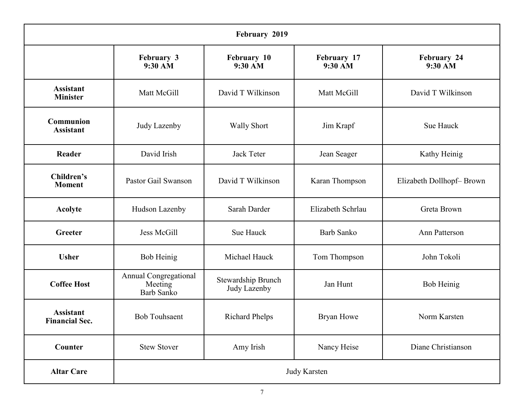| February 2019                             |                                                       |                                    |                        |                          |  |  |  |
|-------------------------------------------|-------------------------------------------------------|------------------------------------|------------------------|--------------------------|--|--|--|
|                                           | February 3<br>$9:30$ AM                               | February 10<br>9:30 AM             | February 17<br>9:30 AM | February 24<br>9:30 AM   |  |  |  |
| <b>Assistant</b><br><b>Minister</b>       | Matt McGill                                           | David T Wilkinson                  | Matt McGill            | David T Wilkinson        |  |  |  |
| <b>Communion</b><br><b>Assistant</b>      | Judy Lazenby                                          | <b>Wally Short</b>                 | Jim Krapf              | Sue Hauck                |  |  |  |
| Reader                                    | David Irish                                           | <b>Jack Teter</b>                  | Jean Seager            | Kathy Heinig             |  |  |  |
| Children's<br><b>Moment</b>               | Pastor Gail Swanson                                   | David T Wilkinson                  | Karan Thompson         | Elizabeth Dollhopf-Brown |  |  |  |
| Acolyte                                   | Hudson Lazenby                                        | Sarah Darder                       | Elizabeth Schrlau      | Greta Brown              |  |  |  |
| Greeter                                   | Jess McGill                                           | <b>Sue Hauck</b>                   | <b>Barb Sanko</b>      | Ann Patterson            |  |  |  |
| <b>Usher</b>                              | Bob Heinig                                            | Michael Hauck                      | Tom Thompson           | John Tokoli              |  |  |  |
| <b>Coffee Host</b>                        | Annual Congregational<br>Meeting<br><b>Barb Sanko</b> | Stewardship Brunch<br>Judy Lazenby | Jan Hunt               | Bob Heinig               |  |  |  |
| <b>Assistant</b><br><b>Financial Sec.</b> | <b>Bob Touhsaent</b>                                  | Richard Phelps                     | Bryan Howe             | Norm Karsten             |  |  |  |
| Counter                                   | <b>Stew Stover</b>                                    | Amy Irish                          | Nancy Heise            | Diane Christianson       |  |  |  |
| <b>Altar Care</b>                         | <b>Judy Karsten</b>                                   |                                    |                        |                          |  |  |  |